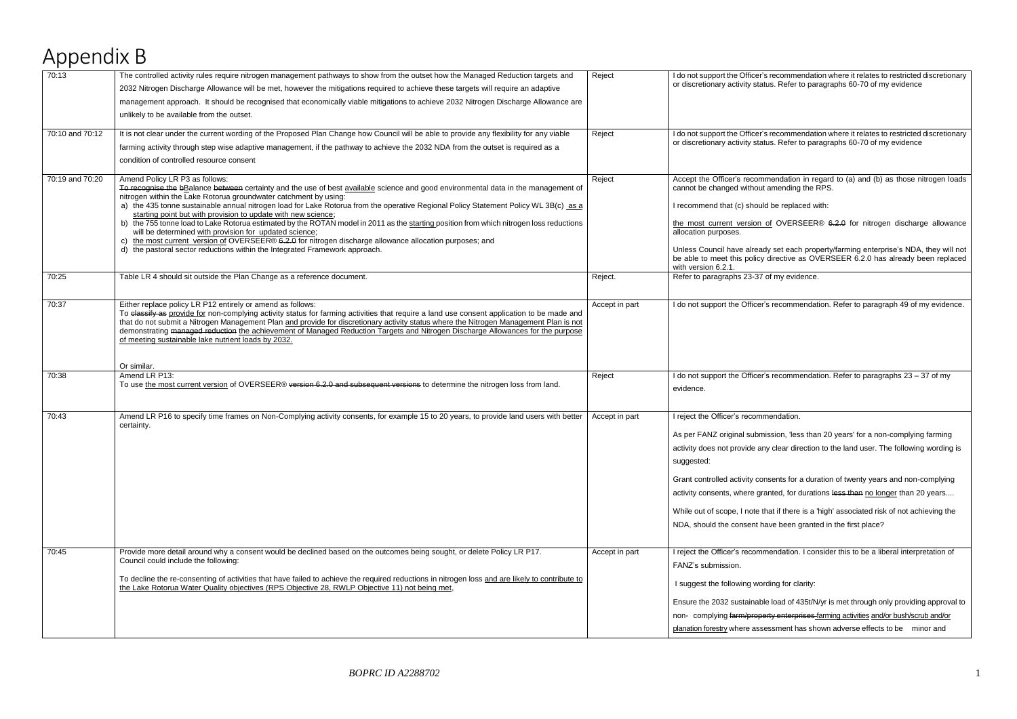s recommendation where it relates to restricted discretionary tus. Refer to paragraphs 60-70 of my evidence s recommendation where it relates to restricted discretionary tus. Refer to paragraphs 60-70 of my evidence mendation in regard to (a) and (b) as those nitrogen loads t amending the RPS. d be replaced with: of OVERSEER® 6.2.0 for nitrogen discharge allowance dy set each property/farming enterprise's NDA, they will not directive as OVERSEER  $6.2.0$  has already been replaced 's recommendation. Refer to paragraph 49 of my evidence.

 $\overline{R}$ 's recommendation. Refer to paragraphs 23 – 37 of my

ission, 'less than 20 years' for a non-complying farming ay clear direction to the land user. The following wording is

nsents for a duration of twenty years and non-complying anted, for durations l<del>ess than</del> no longer than 20 years....

hat if there is a 'high' associated risk of not achieving the ave been granted in the first place?

mendation. I consider this to be a liberal interpretation of

le load of 435t/N/yr is met through only providing approval to erty enterprises farming activities and/or bush/scrub and/or essment has shown adverse effects to be minor and

## Appendix B

| 70:13           | The controlled activity rules require nitrogen management pathways to show from the outset how the Managed Reduction targets and<br>2032 Nitrogen Discharge Allowance will be met, however the mitigations required to achieve these targets will require an adaptive<br>management approach. It should be recognised that economically viable mitigations to achieve 2032 Nitrogen Discharge Allowance are<br>unlikely to be available from the outset.                                                                                                                                                                                                                                                                                                                                                                                          | Reject         | I do not support the Officer's recommendation<br>or discretionary activity status. Refer to para                                                                                                                                                                                                                                                       |
|-----------------|---------------------------------------------------------------------------------------------------------------------------------------------------------------------------------------------------------------------------------------------------------------------------------------------------------------------------------------------------------------------------------------------------------------------------------------------------------------------------------------------------------------------------------------------------------------------------------------------------------------------------------------------------------------------------------------------------------------------------------------------------------------------------------------------------------------------------------------------------|----------------|--------------------------------------------------------------------------------------------------------------------------------------------------------------------------------------------------------------------------------------------------------------------------------------------------------------------------------------------------------|
| 70:10 and 70:12 | It is not clear under the current wording of the Proposed Plan Change how Council will be able to provide any flexibility for any viable<br>farming activity through step wise adaptive management, if the pathway to achieve the 2032 NDA from the outset is required as a<br>condition of controlled resource consent                                                                                                                                                                                                                                                                                                                                                                                                                                                                                                                           | Reject         | I do not support the Officer's recommendation<br>or discretionary activity status. Refer to para                                                                                                                                                                                                                                                       |
| 70:19 and 70:20 | Amend Policy LR P3 as follows:<br>To recognise the bBalance between certainty and the use of best available science and good environmental data in the management of<br>nitrogen within the Lake Rotorua groundwater catchment by using:<br>a) the 435 tonne sustainable annual nitrogen load for Lake Rotorua from the operative Regional Policy Statement Policy WL 3B(c) as a<br>starting point but with provision to update with new science;<br>b) the 755 tonne load to Lake Rotorua estimated by the ROTAN model in 2011 as the starting position from which nitrogen loss reductions<br>will be determined with provision for updated science;<br>c) the most current version of OVERSEER® 6.2.0 for nitrogen discharge allowance allocation purposes; and<br>d) the pastoral sector reductions within the Integrated Framework approach. | Reject         | Accept the Officer's recommendation in reg<br>cannot be changed without amending the R<br>I recommend that (c) should be replaced wi<br>the most current version of OVERSEER<br>allocation purposes.<br>Unless Council have already set each prop<br>be able to meet this policy directive as OV<br>with version 6.2.1.                                |
| 70:25           | Table LR 4 should sit outside the Plan Change as a reference document.                                                                                                                                                                                                                                                                                                                                                                                                                                                                                                                                                                                                                                                                                                                                                                            | Reject.        | Refer to paragraphs 23-37 of my evidence.                                                                                                                                                                                                                                                                                                              |
| 70:37           | Either replace policy LR P12 entirely or amend as follows:<br>To classify as provide for non-complying activity status for farming activities that require a land use consent application to be made and<br>that do not submit a Nitrogen Management Plan and provide for discretionary activity status where the Nitrogen Management Plan is not<br>demonstrating managed reduction the achievement of Managed Reduction Targets and Nitrogen Discharge Allowances for the purpose<br>of meeting sustainable lake nutrient loads by 2032.                                                                                                                                                                                                                                                                                                        | Accept in part | I do not support the Officer's recommendati                                                                                                                                                                                                                                                                                                            |
| 70:38           | Or similar.<br>Amend LR P13:<br>To use the most current version of OVERSEER® version 6.2.0 and subsequent versions to determine the nitrogen loss from land.                                                                                                                                                                                                                                                                                                                                                                                                                                                                                                                                                                                                                                                                                      | Reject         | I do not support the Officer's recommendati<br>evidence.                                                                                                                                                                                                                                                                                               |
| 70:43           | Amend LR P16 to specify time frames on Non-Complying activity consents, for example 15 to 20 years, to provide land users with better<br>certainty.                                                                                                                                                                                                                                                                                                                                                                                                                                                                                                                                                                                                                                                                                               | Accept in part | I reject the Officer's recommendation.<br>As per FANZ original submission, 'less than<br>activity does not provide any clear direction<br>suggested:<br>Grant controlled activity consents for a dura<br>activity consents, where granted, for duratic<br>While out of scope, I note that if there is a 'h<br>NDA, should the consent have been grante |
| 70:45           | Provide more detail around why a consent would be declined based on the outcomes being sought, or delete Policy LR P17.<br>Council could include the following:<br>To decline the re-consenting of activities that have failed to achieve the required reductions in nitrogen loss and are likely to contribute to<br>the Lake Rotorua Water Quality objectives (RPS Objective 28, RWLP Objective 11) not being met,                                                                                                                                                                                                                                                                                                                                                                                                                              | Accept in part | I reject the Officer's recommendation. I con:<br>FANZ's submission.<br>I suggest the following wording for clarity:<br>Ensure the 2032 sustainable load of 435t/N/<br>non- complying farm/property enterprises-fa<br>planation forestry where assessment has sho                                                                                       |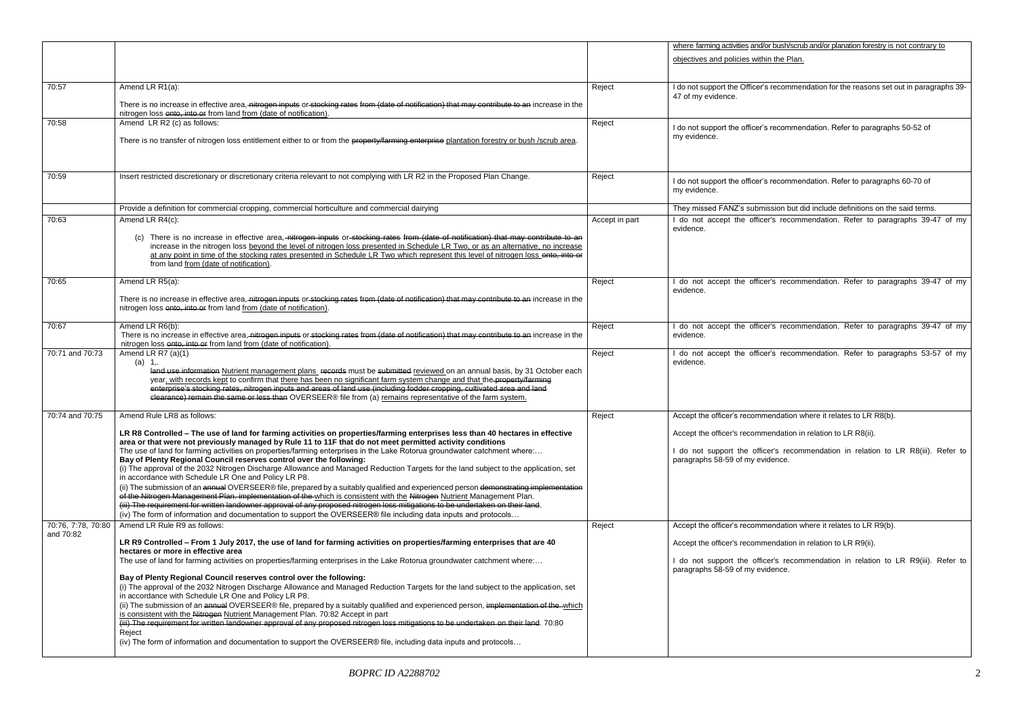or bush/scrub and/or planation forestry is not contrary to in the Plan.

's recommendation for the reasons set out in paragraphs 39-

's recommendation. Refer to paragraphs 50-52 of

<sup>2</sup> is recommendation. Refer to paragraphs 60-70 of

ission but did include definitions on the said terms. er's recommendation. Refer to paragraphs 39-47 of my

er's recommendation. Refer to paragraphs 39-47 of my

er's recommendation. Refer to paragraphs 39-47 of my

er's recommendation. Refer to paragraphs 53-57 of my

mendation where it relates to LR R8(b).

mendation in relation to LR R8(ii).

cer's recommendation in relation to LR R8(iii). Refer to ridence.

nendation where it relates to LR R9(b).

mendation in relation to LR R9(ii).

cer's recommendation in relation to LR R9(iii). Refer to ridence.

|                                 |                                                                                                                                                                                                                                                                                                                                                                                                                                                                                                                                                                                                                                                                                                                                                                                                                                                                                                                                                                                                                                                                                                                                                                          |                | where farming activities and/                                                          |
|---------------------------------|--------------------------------------------------------------------------------------------------------------------------------------------------------------------------------------------------------------------------------------------------------------------------------------------------------------------------------------------------------------------------------------------------------------------------------------------------------------------------------------------------------------------------------------------------------------------------------------------------------------------------------------------------------------------------------------------------------------------------------------------------------------------------------------------------------------------------------------------------------------------------------------------------------------------------------------------------------------------------------------------------------------------------------------------------------------------------------------------------------------------------------------------------------------------------|----------------|----------------------------------------------------------------------------------------|
|                                 |                                                                                                                                                                                                                                                                                                                                                                                                                                                                                                                                                                                                                                                                                                                                                                                                                                                                                                                                                                                                                                                                                                                                                                          |                | objectives and policies with                                                           |
| 70:57                           | Amend LR R1(a):<br>There is no increase in effective area, nitrogon inputs or stocking rates from (date of notification) that may contribute to an increase in the<br>nitrogen loss onto, into or from land from (date of notification).                                                                                                                                                                                                                                                                                                                                                                                                                                                                                                                                                                                                                                                                                                                                                                                                                                                                                                                                 | Reject         | I do not support the Officer's<br>47 of my evidence.                                   |
| 70:58                           | Amend LR R2 (c) as follows:<br>There is no transfer of nitrogen loss entitlement either to or from the property/farming enterprise plantation forestry or bush /scrub area.                                                                                                                                                                                                                                                                                                                                                                                                                                                                                                                                                                                                                                                                                                                                                                                                                                                                                                                                                                                              | Reject         | I do not support the officer's<br>my evidence.                                         |
| 70:59                           | Insert restricted discretionary or discretionary criteria relevant to not complying with LR R2 in the Proposed Plan Change.                                                                                                                                                                                                                                                                                                                                                                                                                                                                                                                                                                                                                                                                                                                                                                                                                                                                                                                                                                                                                                              | Reject         | I do not support the officer's<br>my evidence.                                         |
|                                 | Provide a definition for commercial cropping, commercial horticulture and commercial dairying                                                                                                                                                                                                                                                                                                                                                                                                                                                                                                                                                                                                                                                                                                                                                                                                                                                                                                                                                                                                                                                                            |                | They missed FANZ's subm                                                                |
| 70:63                           | Amend LR R4(c):<br>(c) There is no increase in effective area, nitrogen inputs or stocking rates from (date of notification) that may contribute to an<br>increase in the nitrogen loss beyond the level of nitrogen loss presented in Schedule LR Two, or as an alternative, no increase<br>at any point in time of the stocking rates presented in Schedule LR Two which represent this level of nitrogen loss ento, into or<br>from land from (date of notification).                                                                                                                                                                                                                                                                                                                                                                                                                                                                                                                                                                                                                                                                                                 | Accept in part | I do not accept the office<br>evidence.                                                |
| 70:65                           | Amend LR R5(a):<br>There is no increase in effective area, nitrogen inputs or stocking rates from (date of notification) that may contribute to an increase in the<br>nitrogen loss onto, into or from land from (date of notification).                                                                                                                                                                                                                                                                                                                                                                                                                                                                                                                                                                                                                                                                                                                                                                                                                                                                                                                                 | Reject         | I do not accept the office<br>evidence.                                                |
| 70:67                           | Amend LR R6(b):<br>There is no increase in effective area, nitrogen inputs or stocking rates from (date of notification) that may contribute to an increase in the<br>nitrogen loss onto, into or from land from (date of notification).                                                                                                                                                                                                                                                                                                                                                                                                                                                                                                                                                                                                                                                                                                                                                                                                                                                                                                                                 | Reject         | I do not accept the office<br>evidence.                                                |
| 70:71 and 70:73                 | Amend LR R7 (a)(1)<br>(a) 1,<br>land use information Nutrient management plans records must be submitted reviewed on an annual basis, by 31 October each<br>year, with records kept to confirm that there has been no significant farm system change and that the property/farming<br>enterprise's stocking rates, nitrogen inputs and areas of land use (including fodder cropping, cultivated area and land<br>elearance) remain the same or less than OVERSEER® file from (a) remains representative of the farm system.                                                                                                                                                                                                                                                                                                                                                                                                                                                                                                                                                                                                                                              | Reject         | I do not accept the office<br>evidence.                                                |
| 70:74 and 70:75                 | Amend Rule LR8 as follows:                                                                                                                                                                                                                                                                                                                                                                                                                                                                                                                                                                                                                                                                                                                                                                                                                                                                                                                                                                                                                                                                                                                                               | Reject         | Accept the officer's recomn                                                            |
|                                 | LR R8 Controlled - The use of land for farming activities on properties/farming enterprises less than 40 hectares in effective<br>area or that were not previously managed by Rule 11 to 11F that do not meet permitted activity conditions<br>The use of land for farming activities on properties/farming enterprises in the Lake Rotorua groundwater catchment where:<br>Bay of Plenty Regional Council reserves control over the following:<br>(i) The approval of the 2032 Nitrogen Discharge Allowance and Managed Reduction Targets for the land subject to the application, set<br>in accordance with Schedule LR One and Policy LR P8.<br>(ii) The submission of an annual OVERSEER® file, prepared by a suitably qualified and experienced person demonstrating implementation<br>of the Nitrogen Management Plan. implementation of the which is consistent with the Nitrogen Nutrient Management Plan.<br>(iii) The requirement for written landowner approval of any proposed nitrogen loss mitigations to be undertaken on their land.<br>(iv) The form of information and documentation to support the OVERSEER® file including data inputs and protocols |                | Accept the officer's recomm<br>I do not support the offic<br>paragraphs 58-59 of my ev |
| 70:76, 7:78, 70:80<br>and 70:82 | Amend LR Rule R9 as follows:                                                                                                                                                                                                                                                                                                                                                                                                                                                                                                                                                                                                                                                                                                                                                                                                                                                                                                                                                                                                                                                                                                                                             | Reject         | Accept the officer's recomn                                                            |
|                                 | LR R9 Controlled - From 1 July 2017, the use of land for farming activities on properties/farming enterprises that are 40<br>hectares or more in effective area<br>The use of land for farming activities on properties/farming enterprises in the Lake Rotorua groundwater catchment where:<br>Bay of Plenty Regional Council reserves control over the following:<br>(i) The approval of the 2032 Nitrogen Discharge Allowance and Managed Reduction Targets for the land subject to the application, set                                                                                                                                                                                                                                                                                                                                                                                                                                                                                                                                                                                                                                                              |                | Accept the officer's recomm<br>I do not support the offic<br>paragraphs 58-59 of my ev |
|                                 | in accordance with Schedule LR One and Policy LR P8.<br>(ii) The submission of an annual OVERSEER® file, prepared by a suitably qualified and experienced person, implementation of the-which<br>is consistent with the Nitrogen Nutrient Management Plan. 70:82 Accept in part<br>(iii) The requirement for written landowner approval of any proposed nitrogen loss mitigations to be undertaken on their land. 70:80<br>Reject<br>(iv) The form of information and documentation to support the OVERSEER® file, including data inputs and protocols                                                                                                                                                                                                                                                                                                                                                                                                                                                                                                                                                                                                                   |                |                                                                                        |